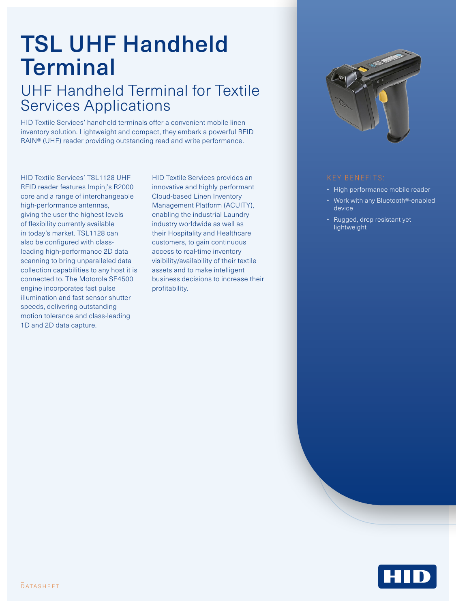# TSL UHF Handheld **Terminal**

### UHF Handheld Terminal for Textile Services Applications

HID Textile Services' handheld terminals offer a convenient mobile linen inventory solution. Lightweight and compact, they embark a powerful RFID RAIN® (UHF) reader providing outstanding read and write performance.

HID Textile Services' TSL1128 UHF RFID reader features Impinj's R2000 core and a range of interchangeable high-performance antennas, giving the user the highest levels of flexibility currently available in today's market. TSL1128 can also be configured with classleading high-performance 2D data scanning to bring unparalleled data collection capabilities to any host it is connected to. The Motorola SE4500 engine incorporates fast pulse illumination and fast sensor shutter speeds, delivering outstanding motion tolerance and class-leading 1D and 2D data capture.

HID Textile Services provides an innovative and highly performant Cloud-based Linen Inventory Management Platform (ACUITY), enabling the industrial Laundry industry worldwide as well as their Hospitality and Healthcare customers, to gain continuous access to real-time inventory visibility/availability of their textile assets and to make intelligent business decisions to increase their profitability.



- High performance mobile reader
- Work with any Bluetooth®-enabled device
- Rugged, drop resistant yet lightweight